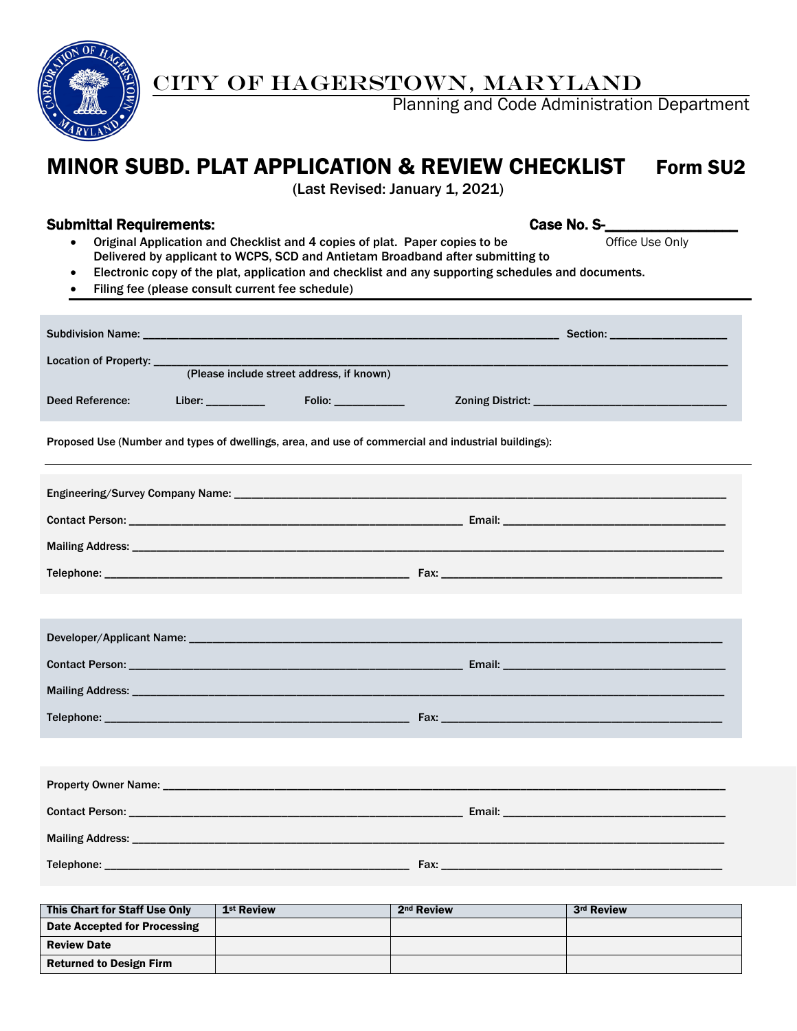

CITY OF HAGERSTOWN, MARYLAND

Planning and Code Administration Department

# MINOR SUBD. PLAT APPLICATION & REVIEW CHECKLIST Form SU2

(Last Revised: January 1, 2021)

#### Submittal Requirements: Case No. S-

- Original Application and Checklist and 4 copies of plat. Paper copies to be Office Use Only Delivered by applicant to WCPS, SCD and Antietam Broadband after submitting to
- Electronic copy of the plat, application and checklist and any supporting schedules and documents.
- Filing fee (please consult current fee schedule)

| Subdivision Name: ______________________                                                            |  |                                           |  | Section: ___________________ |  |  |  |
|-----------------------------------------------------------------------------------------------------|--|-------------------------------------------|--|------------------------------|--|--|--|
| Location of Property: ____                                                                          |  |                                           |  |                              |  |  |  |
|                                                                                                     |  | (Please include street address, if known) |  |                              |  |  |  |
| Deed Reference:                                                                                     |  | Folio: ____________                       |  |                              |  |  |  |
| Proposed Use (Number and types of dwellings, area, and use of commercial and industrial buildings): |  |                                           |  |                              |  |  |  |
|                                                                                                     |  |                                           |  |                              |  |  |  |
|                                                                                                     |  |                                           |  |                              |  |  |  |
|                                                                                                     |  |                                           |  |                              |  |  |  |
|                                                                                                     |  |                                           |  |                              |  |  |  |
|                                                                                                     |  |                                           |  |                              |  |  |  |
|                                                                                                     |  |                                           |  |                              |  |  |  |
|                                                                                                     |  |                                           |  |                              |  |  |  |
|                                                                                                     |  |                                           |  |                              |  |  |  |
|                                                                                                     |  |                                           |  |                              |  |  |  |
|                                                                                                     |  |                                           |  |                              |  |  |  |
|                                                                                                     |  |                                           |  |                              |  |  |  |
|                                                                                                     |  |                                           |  |                              |  |  |  |
|                                                                                                     |  |                                           |  |                              |  |  |  |
|                                                                                                     |  |                                           |  |                              |  |  |  |
|                                                                                                     |  |                                           |  |                              |  |  |  |

| This Chart for Staff Use Only  | 1 <sup>st</sup> Review | 2 <sup>nd</sup> Review | 3rd Review |
|--------------------------------|------------------------|------------------------|------------|
| Date Accepted for Processing   |                        |                        |            |
| <b>Review Date</b>             |                        |                        |            |
| <b>Returned to Design Firm</b> |                        |                        |            |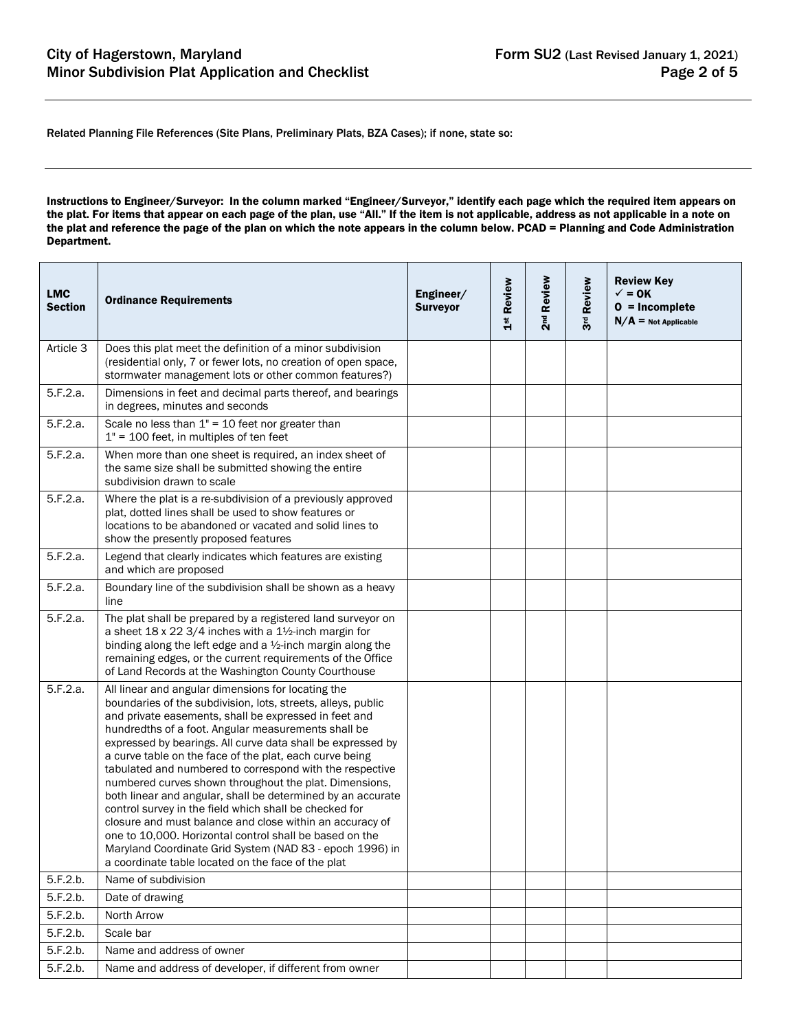Related Planning File References (Site Plans, Preliminary Plats, BZA Cases); if none, state so:

Instructions to Engineer/Surveyor: In the column marked "Engineer/Surveyor," identify each page which the required item appears on the plat. For items that appear on each page of the plan, use "All." If the item is not applicable, address as not applicable in a note on the plat and reference the page of the plan on which the note appears in the column below. PCAD = Planning and Code Administration Department.

| <b>LMC</b><br><b>Section</b> | <b>Ordinance Requirements</b>                                                                                                                                                                                                                                                                                                                                                                                                                                                                                                                                                                                                                                                                                                                                                                                                                        | Engineer/<br><b>Surveyor</b> | 1 <sup>st</sup> Review | 2 <sup>nd</sup> Review | Review<br>3 <sup>rd</sup> | <b>Review Key</b><br>$\checkmark$ = 0K<br>$0 = Incomplete$<br>$N/A$ = Not Applicable |
|------------------------------|------------------------------------------------------------------------------------------------------------------------------------------------------------------------------------------------------------------------------------------------------------------------------------------------------------------------------------------------------------------------------------------------------------------------------------------------------------------------------------------------------------------------------------------------------------------------------------------------------------------------------------------------------------------------------------------------------------------------------------------------------------------------------------------------------------------------------------------------------|------------------------------|------------------------|------------------------|---------------------------|--------------------------------------------------------------------------------------|
| Article 3                    | Does this plat meet the definition of a minor subdivision<br>(residential only, 7 or fewer lots, no creation of open space,<br>stormwater management lots or other common features?)                                                                                                                                                                                                                                                                                                                                                                                                                                                                                                                                                                                                                                                                 |                              |                        |                        |                           |                                                                                      |
| 5.F.2.a.                     | Dimensions in feet and decimal parts thereof, and bearings<br>in degrees, minutes and seconds                                                                                                                                                                                                                                                                                                                                                                                                                                                                                                                                                                                                                                                                                                                                                        |                              |                        |                        |                           |                                                                                      |
| 5.F.2.a.                     | Scale no less than $1" = 10$ feet nor greater than<br>$1" = 100$ feet, in multiples of ten feet                                                                                                                                                                                                                                                                                                                                                                                                                                                                                                                                                                                                                                                                                                                                                      |                              |                        |                        |                           |                                                                                      |
| 5.F.2.a.                     | When more than one sheet is required, an index sheet of<br>the same size shall be submitted showing the entire<br>subdivision drawn to scale                                                                                                                                                                                                                                                                                                                                                                                                                                                                                                                                                                                                                                                                                                         |                              |                        |                        |                           |                                                                                      |
| 5.F.2.a.                     | Where the plat is a re-subdivision of a previously approved<br>plat, dotted lines shall be used to show features or<br>locations to be abandoned or vacated and solid lines to<br>show the presently proposed features                                                                                                                                                                                                                                                                                                                                                                                                                                                                                                                                                                                                                               |                              |                        |                        |                           |                                                                                      |
| 5.F.2.a.                     | Legend that clearly indicates which features are existing<br>and which are proposed                                                                                                                                                                                                                                                                                                                                                                                                                                                                                                                                                                                                                                                                                                                                                                  |                              |                        |                        |                           |                                                                                      |
| 5.F.2.a.                     | Boundary line of the subdivision shall be shown as a heavy<br>line                                                                                                                                                                                                                                                                                                                                                                                                                                                                                                                                                                                                                                                                                                                                                                                   |                              |                        |                        |                           |                                                                                      |
| 5.F.2.a.                     | The plat shall be prepared by a registered land surveyor on<br>a sheet 18 x 22 3/4 inches with a 11/2-inch margin for<br>binding along the left edge and a 1/2-inch margin along the<br>remaining edges, or the current requirements of the Office<br>of Land Records at the Washington County Courthouse                                                                                                                                                                                                                                                                                                                                                                                                                                                                                                                                            |                              |                        |                        |                           |                                                                                      |
| 5.F.2.a.                     | All linear and angular dimensions for locating the<br>boundaries of the subdivision, lots, streets, alleys, public<br>and private easements, shall be expressed in feet and<br>hundredths of a foot. Angular measurements shall be<br>expressed by bearings. All curve data shall be expressed by<br>a curve table on the face of the plat, each curve being<br>tabulated and numbered to correspond with the respective<br>numbered curves shown throughout the plat. Dimensions,<br>both linear and angular, shall be determined by an accurate<br>control survey in the field which shall be checked for<br>closure and must balance and close within an accuracy of<br>one to 10,000. Horizontal control shall be based on the<br>Maryland Coordinate Grid System (NAD 83 - epoch 1996) in<br>a coordinate table located on the face of the plat |                              |                        |                        |                           |                                                                                      |
| 5.F.2.b.                     | Name of subdivision                                                                                                                                                                                                                                                                                                                                                                                                                                                                                                                                                                                                                                                                                                                                                                                                                                  |                              |                        |                        |                           |                                                                                      |
| 5.F.2.b.                     | Date of drawing                                                                                                                                                                                                                                                                                                                                                                                                                                                                                                                                                                                                                                                                                                                                                                                                                                      |                              |                        |                        |                           |                                                                                      |
| 5.F.2.b.                     | North Arrow                                                                                                                                                                                                                                                                                                                                                                                                                                                                                                                                                                                                                                                                                                                                                                                                                                          |                              |                        |                        |                           |                                                                                      |
| 5.F.2.b.                     | Scale bar                                                                                                                                                                                                                                                                                                                                                                                                                                                                                                                                                                                                                                                                                                                                                                                                                                            |                              |                        |                        |                           |                                                                                      |
| 5.F.2.b.                     | Name and address of owner                                                                                                                                                                                                                                                                                                                                                                                                                                                                                                                                                                                                                                                                                                                                                                                                                            |                              |                        |                        |                           |                                                                                      |
| 5.F.2.b.                     | Name and address of developer, if different from owner                                                                                                                                                                                                                                                                                                                                                                                                                                                                                                                                                                                                                                                                                                                                                                                               |                              |                        |                        |                           |                                                                                      |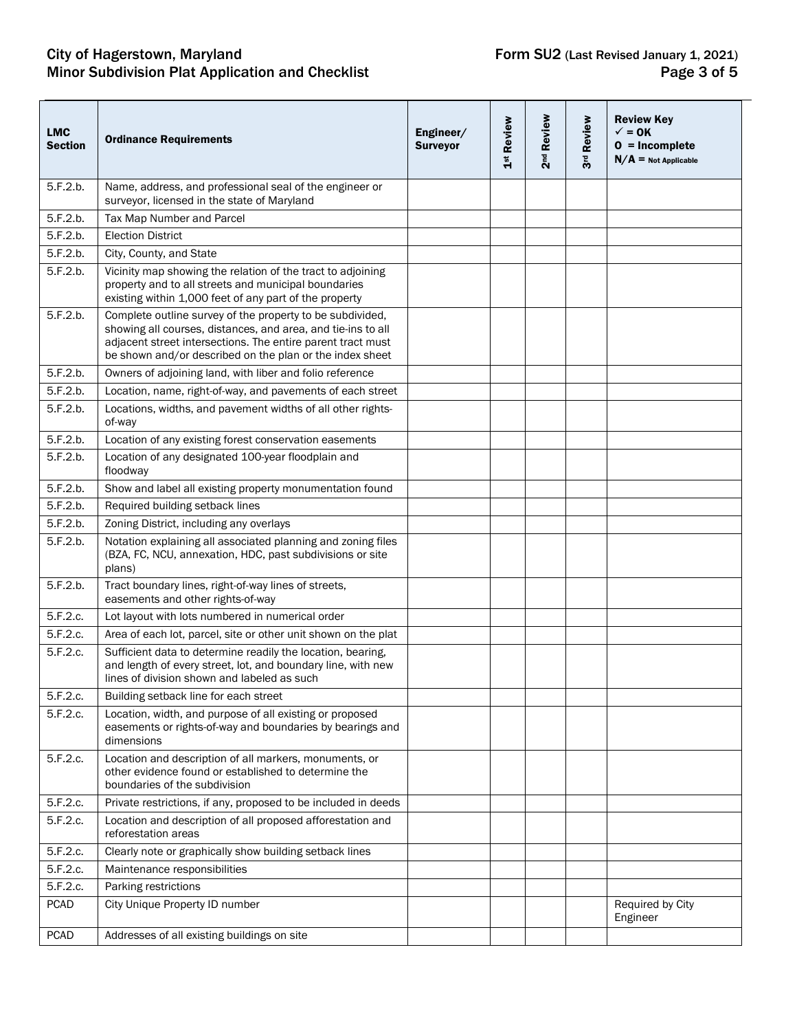## City of Hagerstown, Maryland **Form SU2** (Last Revised January 1, 2021) Minor Subdivision Plat Application and Checklist **Page 3** of 5

| <b>LMC</b><br><b>Section</b> | <b>Ordinance Requirements</b>                                                                                                                                                                                                                        | Engineer/<br><b>Surveyor</b> | Review<br>$\frac{st}{1}$ | Review<br>2 <sup>nd</sup> | <b>Review</b><br>3 <sup>rd</sup> | <b>Review Key</b><br>$\checkmark$ = 0K<br>$0 = Incomplete$<br>$N/A$ = Not Applicable |
|------------------------------|------------------------------------------------------------------------------------------------------------------------------------------------------------------------------------------------------------------------------------------------------|------------------------------|--------------------------|---------------------------|----------------------------------|--------------------------------------------------------------------------------------|
| 5.F.2.b.                     | Name, address, and professional seal of the engineer or<br>surveyor, licensed in the state of Maryland                                                                                                                                               |                              |                          |                           |                                  |                                                                                      |
| 5.F.2.b.                     | Tax Map Number and Parcel                                                                                                                                                                                                                            |                              |                          |                           |                                  |                                                                                      |
| 5.F.2.b.                     | <b>Election District</b>                                                                                                                                                                                                                             |                              |                          |                           |                                  |                                                                                      |
| 5.F.2.b.                     | City, County, and State                                                                                                                                                                                                                              |                              |                          |                           |                                  |                                                                                      |
| 5.F.2.b.                     | Vicinity map showing the relation of the tract to adjoining<br>property and to all streets and municipal boundaries<br>existing within 1,000 feet of any part of the property                                                                        |                              |                          |                           |                                  |                                                                                      |
| 5.F.2.b.                     | Complete outline survey of the property to be subdivided,<br>showing all courses, distances, and area, and tie-ins to all<br>adjacent street intersections. The entire parent tract must<br>be shown and/or described on the plan or the index sheet |                              |                          |                           |                                  |                                                                                      |
| 5.F.2.b.                     | Owners of adjoining land, with liber and folio reference                                                                                                                                                                                             |                              |                          |                           |                                  |                                                                                      |
| 5.F.2.b.                     | Location, name, right-of-way, and pavements of each street                                                                                                                                                                                           |                              |                          |                           |                                  |                                                                                      |
| 5.F.2.b.                     | Locations, widths, and pavement widths of all other rights-<br>of-way                                                                                                                                                                                |                              |                          |                           |                                  |                                                                                      |
| 5.F.2.b.                     | Location of any existing forest conservation easements                                                                                                                                                                                               |                              |                          |                           |                                  |                                                                                      |
| 5.F.2.b.                     | Location of any designated 100-year floodplain and<br>floodway                                                                                                                                                                                       |                              |                          |                           |                                  |                                                                                      |
| 5.F.2.b.                     | Show and label all existing property monumentation found                                                                                                                                                                                             |                              |                          |                           |                                  |                                                                                      |
| 5.F.2.b.                     | Required building setback lines                                                                                                                                                                                                                      |                              |                          |                           |                                  |                                                                                      |
| 5.F.2.b.                     | Zoning District, including any overlays                                                                                                                                                                                                              |                              |                          |                           |                                  |                                                                                      |
| 5.F.2.b.                     | Notation explaining all associated planning and zoning files<br>(BZA, FC, NCU, annexation, HDC, past subdivisions or site<br>plans)                                                                                                                  |                              |                          |                           |                                  |                                                                                      |
| 5.F.2.b.                     | Tract boundary lines, right-of-way lines of streets,<br>easements and other rights-of-way                                                                                                                                                            |                              |                          |                           |                                  |                                                                                      |
| 5.F.2.c.                     | Lot layout with lots numbered in numerical order                                                                                                                                                                                                     |                              |                          |                           |                                  |                                                                                      |
| 5.F.2.c.                     | Area of each lot, parcel, site or other unit shown on the plat                                                                                                                                                                                       |                              |                          |                           |                                  |                                                                                      |
| 5.F.2.c.                     | Sufficient data to determine readily the location, bearing,<br>and length of every street, lot, and boundary line, with new<br>lines of division shown and labeled as such                                                                           |                              |                          |                           |                                  |                                                                                      |
| 5.F.2.c.                     | Building setback line for each street                                                                                                                                                                                                                |                              |                          |                           |                                  |                                                                                      |
| 5.F.2.c.                     | Location, width, and purpose of all existing or proposed<br>easements or rights-of-way and boundaries by bearings and<br>dimensions                                                                                                                  |                              |                          |                           |                                  |                                                                                      |
| 5.F.2.c.                     | Location and description of all markers, monuments, or<br>other evidence found or established to determine the<br>boundaries of the subdivision                                                                                                      |                              |                          |                           |                                  |                                                                                      |
| 5.F.2.c.                     | Private restrictions, if any, proposed to be included in deeds                                                                                                                                                                                       |                              |                          |                           |                                  |                                                                                      |
| 5.F.2.c.                     | Location and description of all proposed afforestation and<br>reforestation areas                                                                                                                                                                    |                              |                          |                           |                                  |                                                                                      |
| 5.F.2.c.                     | Clearly note or graphically show building setback lines                                                                                                                                                                                              |                              |                          |                           |                                  |                                                                                      |
| 5.F.2.c.                     | Maintenance responsibilities                                                                                                                                                                                                                         |                              |                          |                           |                                  |                                                                                      |
| 5.F.2.c.                     | Parking restrictions                                                                                                                                                                                                                                 |                              |                          |                           |                                  |                                                                                      |
| <b>PCAD</b>                  | City Unique Property ID number                                                                                                                                                                                                                       |                              |                          |                           |                                  | Required by City<br>Engineer                                                         |
| <b>PCAD</b>                  | Addresses of all existing buildings on site                                                                                                                                                                                                          |                              |                          |                           |                                  |                                                                                      |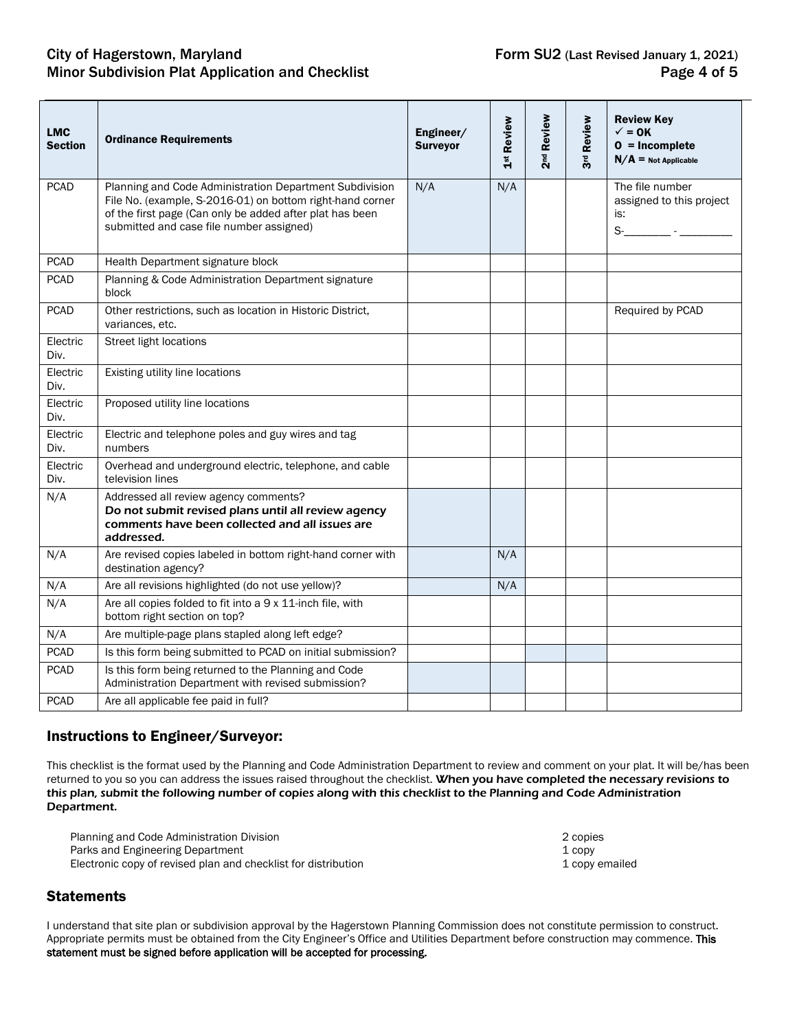## City of Hagerstown, Maryland **Form SU2** (Last Revised January 1, 2021) Minor Subdivision Plat Application and Checklist **Page 4 of 5** and  $P$

| <b>LMC</b><br><b>Section</b> | <b>Ordinance Requirements</b>                                                                                                                                                                                                | Engineer/<br><b>Surveyor</b> | 1st Review | 2 <sup>nd</sup> Review | Review<br>3 <sup>rd</sup> | <b>Review Key</b><br>$\checkmark$ = 0K<br>$0 = Incomplete$<br>$N/A$ = Not Applicable      |
|------------------------------|------------------------------------------------------------------------------------------------------------------------------------------------------------------------------------------------------------------------------|------------------------------|------------|------------------------|---------------------------|-------------------------------------------------------------------------------------------|
| <b>PCAD</b>                  | Planning and Code Administration Department Subdivision<br>File No. (example, S-2016-01) on bottom right-hand corner<br>of the first page (Can only be added after plat has been<br>submitted and case file number assigned) | N/A                          | N/A        |                        |                           | The file number<br>assigned to this project<br>is:<br>$S$ - $\frac{1}{2}$ - $\frac{1}{2}$ |
| <b>PCAD</b>                  | Health Department signature block                                                                                                                                                                                            |                              |            |                        |                           |                                                                                           |
| <b>PCAD</b>                  | Planning & Code Administration Department signature<br>block                                                                                                                                                                 |                              |            |                        |                           |                                                                                           |
| <b>PCAD</b>                  | Other restrictions, such as location in Historic District,<br>variances, etc.                                                                                                                                                |                              |            |                        |                           | Required by PCAD                                                                          |
| Electric<br>Div.             | <b>Street light locations</b>                                                                                                                                                                                                |                              |            |                        |                           |                                                                                           |
| Electric<br>Div.             | Existing utility line locations                                                                                                                                                                                              |                              |            |                        |                           |                                                                                           |
| Electric<br>Div.             | Proposed utility line locations                                                                                                                                                                                              |                              |            |                        |                           |                                                                                           |
| Electric<br>Div.             | Electric and telephone poles and guy wires and tag<br>numbers                                                                                                                                                                |                              |            |                        |                           |                                                                                           |
| Electric<br>Div.             | Overhead and underground electric, telephone, and cable<br>television lines                                                                                                                                                  |                              |            |                        |                           |                                                                                           |
| N/A                          | Addressed all review agency comments?<br>Do not submit revised plans until all review agency<br>comments have been collected and all issues are<br>addressed.                                                                |                              |            |                        |                           |                                                                                           |
| N/A                          | Are revised copies labeled in bottom right-hand corner with<br>destination agency?                                                                                                                                           |                              | N/A        |                        |                           |                                                                                           |
| N/A                          | Are all revisions highlighted (do not use yellow)?                                                                                                                                                                           |                              | N/A        |                        |                           |                                                                                           |
| N/A                          | Are all copies folded to fit into a 9 x 11-inch file, with<br>bottom right section on top?                                                                                                                                   |                              |            |                        |                           |                                                                                           |
| N/A                          | Are multiple-page plans stapled along left edge?                                                                                                                                                                             |                              |            |                        |                           |                                                                                           |
| <b>PCAD</b>                  | Is this form being submitted to PCAD on initial submission?                                                                                                                                                                  |                              |            |                        |                           |                                                                                           |
| <b>PCAD</b>                  | Is this form being returned to the Planning and Code<br>Administration Department with revised submission?                                                                                                                   |                              |            |                        |                           |                                                                                           |
| <b>PCAD</b>                  | Are all applicable fee paid in full?                                                                                                                                                                                         |                              |            |                        |                           |                                                                                           |

## Instructions to Engineer/Surveyor:

This checklist is the format used by the Planning and Code Administration Department to review and comment on your plat. It will be/has been returned to you so you can address the issues raised throughout the checklist. When you have completed the necessary revisions to this plan, submit the following number of copies along with this checklist to the Planning and Code Administration Department.

Planning and Code Administration Division **2** copies 2 copies 2 copies<br>
Parks and Engineering Department **2** copy 2 copies Parks and Engineering Department<br>
Electronic copy of revised plan and checklist for distribution<br>
1 copy emailed Electronic copy of revised plan and checklist for distribution

## **Statements**

I understand that site plan or subdivision approval by the Hagerstown Planning Commission does not constitute permission to construct. Appropriate permits must be obtained from the City Engineer's Office and Utilities Department before construction may commence. This statement must be signed before application will be accepted for processing.